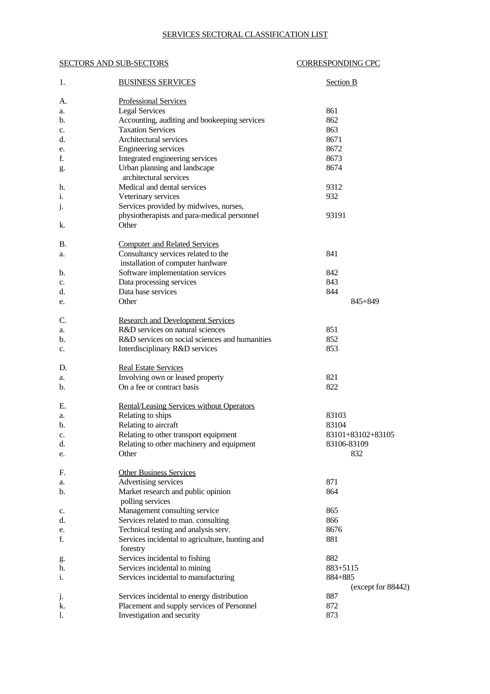## SERVICES SECTORAL CLASSIFICATION LIST

## SECTORS AND SUB-SECTORS CORRESPONDING CPC

| 1. | <b>BUSINESS SERVICES</b>                               | <b>Section B</b>   |
|----|--------------------------------------------------------|--------------------|
| A. | <b>Professional Services</b>                           |                    |
| a. | <b>Legal Services</b>                                  | 861                |
| b. | Accounting, auditing and bookeeping services           | 862                |
| c. | <b>Taxation Services</b>                               | 863                |
| d. | Architectural services                                 | 8671               |
| e. | <b>Engineering services</b>                            | 8672               |
| f. | Integrated engineering services                        | 8673               |
|    |                                                        | 8674               |
| g. | Urban planning and landscape<br>architectural services |                    |
|    |                                                        |                    |
| h. | Medical and dental services                            | 9312               |
| i. | Veterinary services                                    | 932                |
| j. | Services provided by midwives, nurses,                 |                    |
|    | physiotherapists and para-medical personnel            | 93191              |
| k. | Other                                                  |                    |
| В. | <b>Computer and Related Services</b>                   |                    |
| a. | Consultancy services related to the                    | 841                |
|    | installation of computer hardware                      |                    |
| b. | Software implementation services                       | 842                |
| c. | Data processing services                               | 843                |
| d. | Data base services                                     | 844                |
|    | Other                                                  | 845+849            |
| e. |                                                        |                    |
| C. | <b>Research and Development Services</b>               |                    |
| a. | R&D services on natural sciences                       | 851                |
| b. | R&D services on social sciences and humanities         | 852                |
| c. | Interdisciplinary R&D services                         | 853                |
| D. | <b>Real Estate Services</b>                            |                    |
| a. | Involving own or leased property                       | 821                |
| b. | On a fee or contract basis                             | 822                |
|    |                                                        |                    |
| Е. | Rental/Leasing Services without Operators              |                    |
| a. | Relating to ships                                      | 83103              |
| b. | Relating to aircraft                                   | 83104              |
| c. | Relating to other transport equipment                  | 83101+83102+83105  |
| d. | Relating to other machinery and equipment              | 83106-83109        |
| e. | Other                                                  | 832                |
| F. | <b>Other Business Services</b>                         |                    |
| a. | Advertising services                                   | 871                |
| b. | Market research and public opinion                     | 864                |
|    | polling services                                       |                    |
| c. | Management consulting service                          | 865                |
| d. | Services related to man. consulting                    | 866                |
| e. | Technical testing and analysis serv.                   | 8676               |
| f. | Services incidental to agriculture, hunting and        | 881                |
|    | forestry                                               |                    |
| g. | Services incidental to fishing                         | 882                |
| h. | Services incidental to mining                          | 883+5115           |
| i. | Services incidental to manufacturing                   | 884+885            |
|    |                                                        | (except for 88442) |
| j. | Services incidental to energy distribution             | 887                |
| k. | Placement and supply services of Personnel             | 872                |
| 1. | Investigation and security                             | 873                |
|    |                                                        |                    |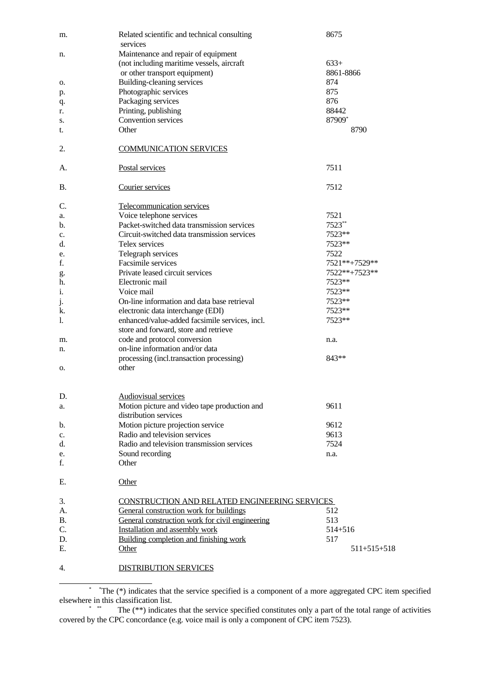| m.        | Related scientific and technical consulting                           | 8675          |
|-----------|-----------------------------------------------------------------------|---------------|
|           | services                                                              |               |
| n.        | Maintenance and repair of equipment                                   |               |
|           | (not including maritime vessels, aircraft                             | $633+$        |
|           | or other transport equipment)                                         | 8861-8866     |
| о.        | <b>Building-cleaning services</b>                                     | 874           |
| p.        | Photographic services                                                 | 875           |
| q.        | Packaging services                                                    | 876           |
| r.        | Printing, publishing                                                  | 88442         |
| s.        | <b>Convention services</b>                                            | 87909*        |
| t.        | Other                                                                 | 8790          |
| 2.        | <b>COMMUNICATION SERVICES</b>                                         |               |
|           |                                                                       | 7511          |
| А.        | Postal services                                                       |               |
| В.        | Courier services                                                      | 7512          |
| C.        | Telecommunication services                                            |               |
| a.        | Voice telephone services                                              | 7521          |
| b.        | Packet-switched data transmission services                            | 7523**        |
| c.        | Circuit-switched data transmission services                           | 7523**        |
| d.        | Telex services                                                        | 7523**        |
| e.        | Telegraph services                                                    | 7522          |
| f.        | Facsimile services                                                    | 7521**+7529** |
|           | Private leased circuit services                                       | 7522**+7523** |
| g.<br>h.  | Electronic mail                                                       | 7523**        |
|           |                                                                       |               |
| i.        | Voice mail                                                            | 7523**        |
| j.        | On-line information and data base retrieval                           | 7523**        |
| k.        | electronic data interchange (EDI)                                     | 7523**        |
| l.        | enhanced/value-added facsimile services, incl.                        | 7523**        |
|           | store and forward, store and retrieve                                 |               |
| m.        | code and protocol conversion                                          | n.a.          |
| n.        | on-line information and/or data                                       |               |
|           | processing (incl.transaction processing)                              | 843**         |
| 0.        | other                                                                 |               |
|           |                                                                       |               |
| D.        | <b>Audiovisual services</b>                                           |               |
| a.        | Motion picture and video tape production and<br>distribution services | 9611          |
| b.        | Motion picture projection service                                     | 9612          |
| c.        | Radio and television services                                         | 9613          |
| d.        | Radio and television transmission services                            | 7524          |
| e.        | Sound recording                                                       | n.a.          |
| f.        | Other                                                                 |               |
| Ε.        | Other                                                                 |               |
| 3.        | CONSTRUCTION AND RELATED ENGINEERING SERVICES                         |               |
| A.        | General construction work for buildings                               | 512           |
| <b>B.</b> | General construction work for civil engineering                       | 513           |
| C.        | Installation and assembly work                                        | 514+516       |
|           |                                                                       |               |
| D.        | Building completion and finishing work                                | 517           |
| Ε.        | Other                                                                 | $511+515+518$ |
| 4.        | <b>DISTRIBUTION SERVICES</b>                                          |               |

<span id="page-1-0"></span><sup>\* \*</sup>The (\*) indicates that the service specified is a component of a more aggregated CPC item specified elsewhere in this classification list.

<span id="page-1-1"></span><sup>\* \*\*</sup> The (\*\*) indicates that the service specified constitutes only a part of the total range of activities covered by the CPC concordance (e.g. voice mail is only a component of CPC item 7523).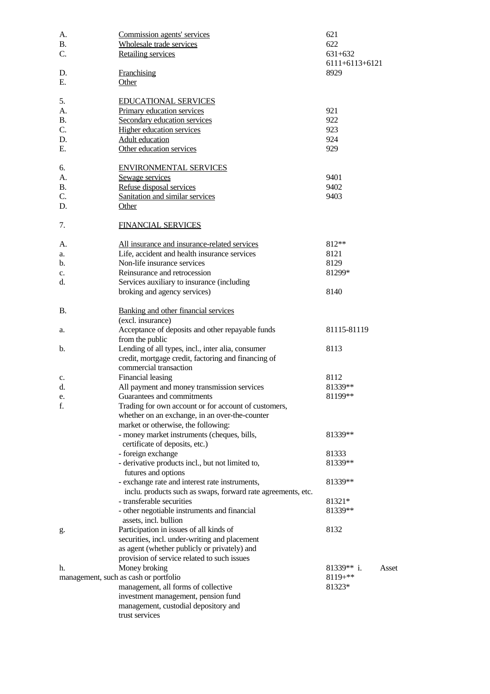| А.        | Commission agents' services                                                               | 621            |       |
|-----------|-------------------------------------------------------------------------------------------|----------------|-------|
| <b>B.</b> | Wholesale trade services                                                                  | 622            |       |
| C.        | <b>Retailing services</b>                                                                 | 631+632        |       |
|           |                                                                                           | 6111+6113+6121 |       |
| D.        | <b>Franchising</b>                                                                        | 8929           |       |
| Ε.        | <b>Other</b>                                                                              |                |       |
|           |                                                                                           |                |       |
| 5.        | <b>EDUCATIONAL SERVICES</b>                                                               |                |       |
| A.        | Primary education services                                                                | 921            |       |
| Β.        | Secondary education services                                                              | 922            |       |
| C.        | <b>Higher education services</b>                                                          | 923            |       |
| D.        | <b>Adult education</b>                                                                    | 924            |       |
| Ε.        | Other education services                                                                  | 929            |       |
|           |                                                                                           |                |       |
| 6.        | <b>ENVIRONMENTAL SERVICES</b>                                                             |                |       |
| A.        | Sewage services                                                                           | 9401           |       |
| В.        | Refuse disposal services                                                                  | 9402           |       |
| C.        | Sanitation and similar services                                                           | 9403           |       |
| D.        | <b>Other</b>                                                                              |                |       |
|           |                                                                                           |                |       |
| 7.        | <b>FINANCIAL SERVICES</b>                                                                 |                |       |
|           |                                                                                           |                |       |
| A.        | All insurance and insurance-related services                                              | 812**          |       |
| a.        | Life, accident and health insurance services                                              | 8121           |       |
| b.        | Non-life insurance services                                                               | 8129           |       |
| c.        | Reinsurance and retrocession                                                              | 81299*         |       |
| d.        | Services auxiliary to insurance (including                                                |                |       |
|           | broking and agency services)                                                              | 8140           |       |
|           |                                                                                           |                |       |
| <b>B.</b> | Banking and other financial services                                                      |                |       |
|           | (excl. insurance)                                                                         |                |       |
| a.        | Acceptance of deposits and other repayable funds                                          | 81115-81119    |       |
|           | from the public                                                                           |                |       |
| b.        | Lending of all types, incl., inter alia, consumer                                         | 8113           |       |
|           | credit, mortgage credit, factoring and financing of                                       |                |       |
|           | commercial transaction                                                                    |                |       |
| c.        | <b>Financial leasing</b>                                                                  | 8112           |       |
| d.        | All payment and money transmission services                                               | 81339**        |       |
| e.        | Guarantees and commitments                                                                | 81199**        |       |
| f.        | Trading for own account or for account of customers,                                      |                |       |
|           | whether on an exchange, in an over-the-counter                                            |                |       |
|           | market or otherwise, the following:                                                       |                |       |
|           | - money market instruments (cheques, bills,                                               | 81339**        |       |
|           | certificate of deposits, etc.)                                                            |                |       |
|           | - foreign exchange                                                                        | 81333          |       |
|           | - derivative products incl., but not limited to,                                          | 81339**        |       |
|           | futures and options                                                                       |                |       |
|           |                                                                                           | 81339**        |       |
|           | - exchange rate and interest rate instruments,                                            |                |       |
|           | inclu. products such as swaps, forward rate agreements, etc.<br>- transferable securities |                |       |
|           |                                                                                           | 81321*         |       |
|           | - other negotiable instruments and financial                                              | 81339**        |       |
|           | assets, incl. bullion                                                                     |                |       |
| g.        | Participation in issues of all kinds of                                                   | 8132           |       |
|           | securities, incl. under-writing and placement                                             |                |       |
|           | as agent (whether publicly or privately) and                                              |                |       |
|           | provision of service related to such issues                                               |                |       |
| h.        | Money broking                                                                             | $81339**$ i.   | Asset |
|           | management, such as cash or portfolio                                                     | 8119+**        |       |
|           | management, all forms of collective                                                       | 81323*         |       |
|           | investment management, pension fund                                                       |                |       |
|           | management, custodial depository and                                                      |                |       |
|           | trust services                                                                            |                |       |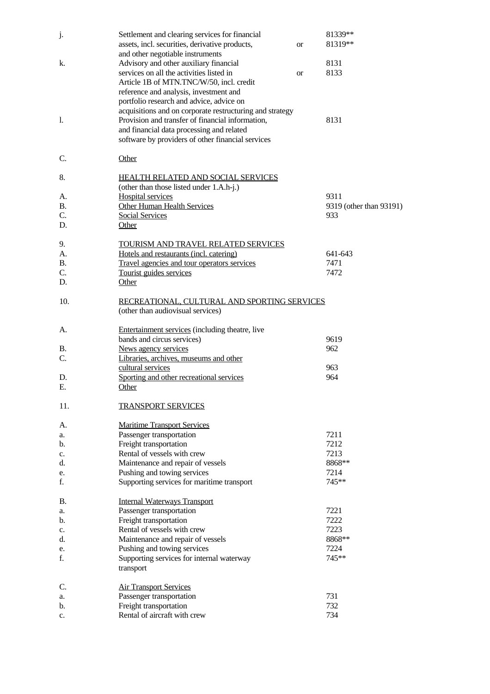| j.              | Settlement and clearing services for financial<br>assets, incl. securities, derivative products,                       | or | 81339**<br>81319**      |
|-----------------|------------------------------------------------------------------------------------------------------------------------|----|-------------------------|
| k.              | and other negotiable instruments<br>Advisory and other auxiliary financial<br>services on all the activities listed in |    | 8131<br>8133            |
|                 | Article 1B of MTN.TNC/W/50, incl. credit<br>reference and analysis, investment and                                     | or |                         |
|                 | portfolio research and advice, advice on                                                                               |    |                         |
|                 | acquisitions and on corporate restructuring and strategy                                                               |    |                         |
| 1.              | Provision and transfer of financial information,<br>and financial data processing and related                          |    | 8131                    |
|                 | software by providers of other financial services                                                                      |    |                         |
| C.              | Other                                                                                                                  |    |                         |
| 8.              | <b>HEALTH RELATED AND SOCIAL SERVICES</b><br>(other than those listed under 1.A.h-j.)                                  |    |                         |
| A.              | <b>Hospital services</b>                                                                                               |    | 9311                    |
| <b>B.</b>       | <b>Other Human Health Services</b>                                                                                     |    | 9319 (other than 93191) |
| C.              | <b>Social Services</b>                                                                                                 |    | 933                     |
| D.              | Other                                                                                                                  |    |                         |
| 9.              | TOURISM AND TRAVEL RELATED SERVICES                                                                                    |    |                         |
| A.              | Hotels and restaurants (incl. catering)                                                                                |    | 641-643                 |
| <b>B.</b><br>C. | Travel agencies and tour operators services<br>Tourist guides services                                                 |    | 7471<br>7472            |
| D.              | Other                                                                                                                  |    |                         |
| 10.             | RECREATIONAL, CULTURAL AND SPORTING SERVICES                                                                           |    |                         |
|                 | (other than audiovisual services)                                                                                      |    |                         |
| A.              | <b>Entertainment services</b> (including theatre, live                                                                 |    |                         |
|                 | bands and circus services)                                                                                             |    | 9619                    |
| В.<br>C.        | News agency services<br>Libraries, archives, museums and other                                                         |    | 962                     |
|                 | cultural services                                                                                                      |    | 963                     |
| D.              | Sporting and other recreational services                                                                               |    | 964                     |
| Ε.              | Other                                                                                                                  |    |                         |
| 11.             | <b>TRANSPORT SERVICES</b>                                                                                              |    |                         |
| A.              | <b>Maritime Transport Services</b>                                                                                     |    |                         |
| a.              | Passenger transportation                                                                                               |    | 7211                    |
| b.              | Freight transportation                                                                                                 |    | 7212                    |
| c.              | Rental of vessels with crew                                                                                            |    | 7213                    |
| d.              | Maintenance and repair of vessels                                                                                      |    | 8868**                  |
| e.<br>f.        | Pushing and towing services<br>Supporting services for maritime transport                                              |    | 7214<br>745**           |
| В.              | <b>Internal Waterways Transport</b>                                                                                    |    |                         |
| a.              | Passenger transportation                                                                                               |    | 7221                    |
| b.              | Freight transportation                                                                                                 |    | 7222                    |
| c.              | Rental of vessels with crew                                                                                            |    | 7223                    |
| d.              | Maintenance and repair of vessels                                                                                      |    | 8868**                  |
| e.              | Pushing and towing services                                                                                            |    | 7224                    |
| f.              | Supporting services for internal waterway<br>transport                                                                 |    | 745**                   |
| C.              | <b>Air Transport Services</b>                                                                                          |    |                         |
| a.              | Passenger transportation                                                                                               |    | 731                     |
| b.              | Freight transportation                                                                                                 |    | 732                     |
| c.              | Rental of aircraft with crew                                                                                           |    | 734                     |